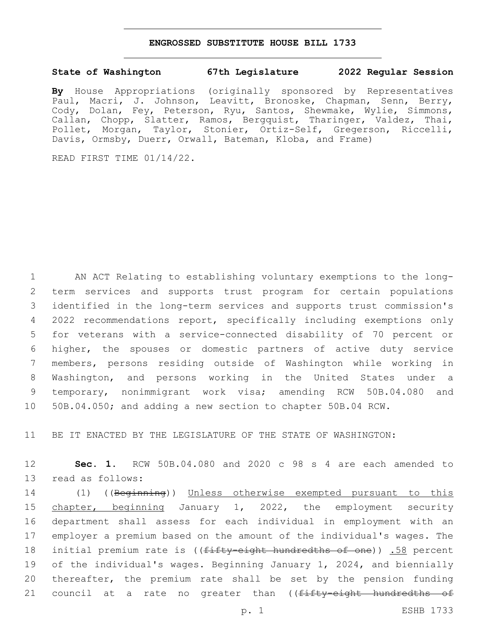## **ENGROSSED SUBSTITUTE HOUSE BILL 1733**

## **State of Washington 67th Legislature 2022 Regular Session**

**By** House Appropriations (originally sponsored by Representatives Paul, Macri, J. Johnson, Leavitt, Bronoske, Chapman, Senn, Berry, Cody, Dolan, Fey, Peterson, Ryu, Santos, Shewmake, Wylie, Simmons, Callan, Chopp, Slatter, Ramos, Bergquist, Tharinger, Valdez, Thai, Pollet, Morgan, Taylor, Stonier, Ortiz-Self, Gregerson, Riccelli, Davis, Ormsby, Duerr, Orwall, Bateman, Kloba, and Frame)

READ FIRST TIME 01/14/22.

 AN ACT Relating to establishing voluntary exemptions to the long- term services and supports trust program for certain populations identified in the long-term services and supports trust commission's 2022 recommendations report, specifically including exemptions only for veterans with a service-connected disability of 70 percent or higher, the spouses or domestic partners of active duty service members, persons residing outside of Washington while working in Washington, and persons working in the United States under a temporary, nonimmigrant work visa; amending RCW 50B.04.080 and 50B.04.050; and adding a new section to chapter 50B.04 RCW.

11 BE IT ENACTED BY THE LEGISLATURE OF THE STATE OF WASHINGTON:

12 **Sec. 1.** RCW 50B.04.080 and 2020 c 98 s 4 are each amended to 13 read as follows:

 (1) ((Beginning)) Unless otherwise exempted pursuant to this chapter, beginning January 1, 2022, the employment security department shall assess for each individual in employment with an employer a premium based on the amount of the individual's wages. The 18 initial premium rate is ((<del>fifty-eight hundredths of one</del>)) .58 percent of the individual's wages. Beginning January 1, 2024, and biennially thereafter, the premium rate shall be set by the pension funding 21 council at a rate no greater than ((fifty-eight hundredths of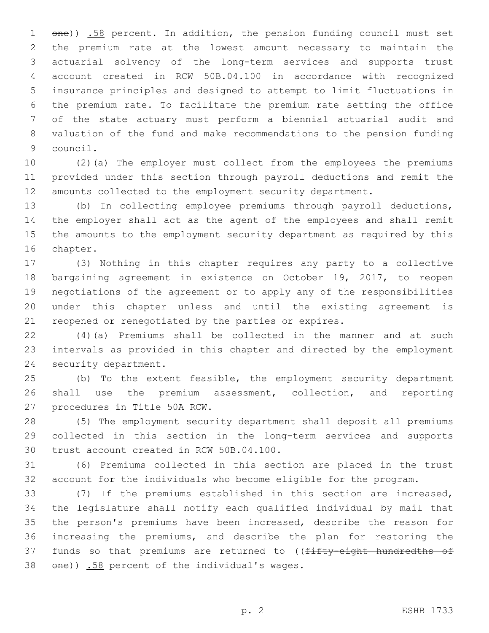1 one)) .58 percent. In addition, the pension funding council must set the premium rate at the lowest amount necessary to maintain the actuarial solvency of the long-term services and supports trust account created in RCW 50B.04.100 in accordance with recognized insurance principles and designed to attempt to limit fluctuations in the premium rate. To facilitate the premium rate setting the office of the state actuary must perform a biennial actuarial audit and valuation of the fund and make recommendations to the pension funding 9 council.

 (2)(a) The employer must collect from the employees the premiums provided under this section through payroll deductions and remit the amounts collected to the employment security department.

 (b) In collecting employee premiums through payroll deductions, the employer shall act as the agent of the employees and shall remit the amounts to the employment security department as required by this 16 chapter.

 (3) Nothing in this chapter requires any party to a collective bargaining agreement in existence on October 19, 2017, to reopen negotiations of the agreement or to apply any of the responsibilities under this chapter unless and until the existing agreement is reopened or renegotiated by the parties or expires.

 (4)(a) Premiums shall be collected in the manner and at such intervals as provided in this chapter and directed by the employment 24 security department.

 (b) To the extent feasible, the employment security department shall use the premium assessment, collection, and reporting 27 procedures in Title 50A RCW.

 (5) The employment security department shall deposit all premiums collected in this section in the long-term services and supports 30 trust account created in RCW 50B.04.100.

 (6) Premiums collected in this section are placed in the trust account for the individuals who become eligible for the program.

 (7) If the premiums established in this section are increased, the legislature shall notify each qualified individual by mail that the person's premiums have been increased, describe the reason for increasing the premiums, and describe the plan for restoring the 37 funds so that premiums are returned to ((fifty-eight hundredths of  $\theta$ )  $\frac{158}{10}$  percent of the individual's wages.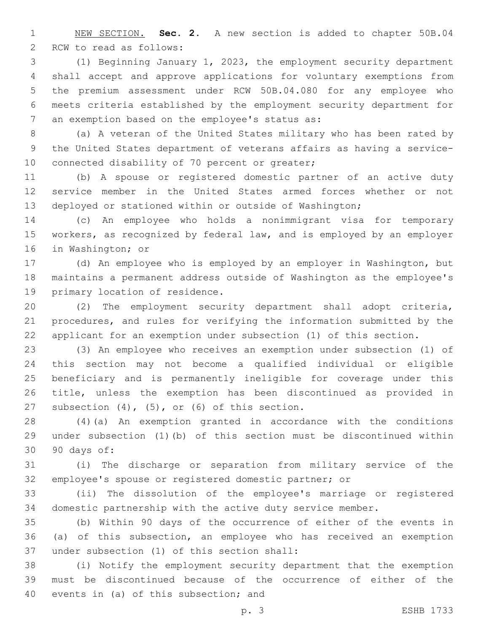NEW SECTION. **Sec. 2.** A new section is added to chapter 50B.04 2 RCW to read as follows:

 (1) Beginning January 1, 2023, the employment security department shall accept and approve applications for voluntary exemptions from the premium assessment under RCW 50B.04.080 for any employee who meets criteria established by the employment security department for 7 an exemption based on the employee's status as:

 (a) A veteran of the United States military who has been rated by the United States department of veterans affairs as having a service-10 connected disability of 70 percent or greater;

 (b) A spouse or registered domestic partner of an active duty service member in the United States armed forces whether or not deployed or stationed within or outside of Washington;

 (c) An employee who holds a nonimmigrant visa for temporary workers, as recognized by federal law, and is employed by an employer 16 in Washington; or

 (d) An employee who is employed by an employer in Washington, but maintains a permanent address outside of Washington as the employee's 19 primary location of residence.

 (2) The employment security department shall adopt criteria, procedures, and rules for verifying the information submitted by the applicant for an exemption under subsection (1) of this section.

 (3) An employee who receives an exemption under subsection (1) of this section may not become a qualified individual or eligible beneficiary and is permanently ineligible for coverage under this title, unless the exemption has been discontinued as provided in 27 subsection  $(4)$ ,  $(5)$ , or  $(6)$  of this section.

 (4)(a) An exemption granted in accordance with the conditions under subsection (1)(b) of this section must be discontinued within 90 days of:30

 (i) The discharge or separation from military service of the employee's spouse or registered domestic partner; or

 (ii) The dissolution of the employee's marriage or registered domestic partnership with the active duty service member.

 (b) Within 90 days of the occurrence of either of the events in (a) of this subsection, an employee who has received an exemption 37 under subsection (1) of this section shall:

 (i) Notify the employment security department that the exemption must be discontinued because of the occurrence of either of the 40 events in (a) of this subsection; and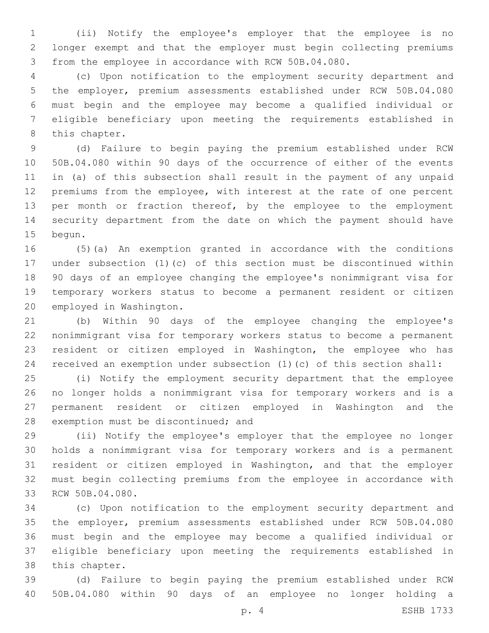(ii) Notify the employee's employer that the employee is no longer exempt and that the employer must begin collecting premiums from the employee in accordance with RCW 50B.04.080.

 (c) Upon notification to the employment security department and the employer, premium assessments established under RCW 50B.04.080 must begin and the employee may become a qualified individual or eligible beneficiary upon meeting the requirements established in 8 this chapter.

 (d) Failure to begin paying the premium established under RCW 50B.04.080 within 90 days of the occurrence of either of the events in (a) of this subsection shall result in the payment of any unpaid premiums from the employee, with interest at the rate of one percent 13 per month or fraction thereof, by the employee to the employment security department from the date on which the payment should have 15 begun.

 (5)(a) An exemption granted in accordance with the conditions under subsection (1)(c) of this section must be discontinued within 90 days of an employee changing the employee's nonimmigrant visa for temporary workers status to become a permanent resident or citizen 20 employed in Washington.

 (b) Within 90 days of the employee changing the employee's nonimmigrant visa for temporary workers status to become a permanent resident or citizen employed in Washington, the employee who has received an exemption under subsection (1)(c) of this section shall:

 (i) Notify the employment security department that the employee no longer holds a nonimmigrant visa for temporary workers and is a permanent resident or citizen employed in Washington and the 28 exemption must be discontinued; and

 (ii) Notify the employee's employer that the employee no longer holds a nonimmigrant visa for temporary workers and is a permanent resident or citizen employed in Washington, and that the employer must begin collecting premiums from the employee in accordance with 33 RCW 50B.04.080.

 (c) Upon notification to the employment security department and the employer, premium assessments established under RCW 50B.04.080 must begin and the employee may become a qualified individual or eligible beneficiary upon meeting the requirements established in 38 this chapter.

 (d) Failure to begin paying the premium established under RCW 50B.04.080 within 90 days of an employee no longer holding a

p. 4 ESHB 1733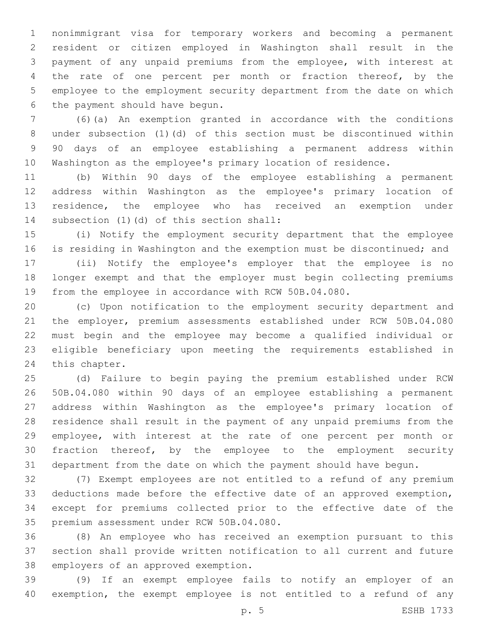nonimmigrant visa for temporary workers and becoming a permanent resident or citizen employed in Washington shall result in the payment of any unpaid premiums from the employee, with interest at 4 the rate of one percent per month or fraction thereof, by the employee to the employment security department from the date on which 6 the payment should have begun.

 (6)(a) An exemption granted in accordance with the conditions under subsection (1)(d) of this section must be discontinued within 90 days of an employee establishing a permanent address within Washington as the employee's primary location of residence.

 (b) Within 90 days of the employee establishing a permanent address within Washington as the employee's primary location of 13 residence, the employee who has received an exemption under 14 subsection (1)(d) of this section shall:

 (i) Notify the employment security department that the employee is residing in Washington and the exemption must be discontinued; and

 (ii) Notify the employee's employer that the employee is no longer exempt and that the employer must begin collecting premiums from the employee in accordance with RCW 50B.04.080.

 (c) Upon notification to the employment security department and the employer, premium assessments established under RCW 50B.04.080 must begin and the employee may become a qualified individual or eligible beneficiary upon meeting the requirements established in 24 this chapter.

 (d) Failure to begin paying the premium established under RCW 50B.04.080 within 90 days of an employee establishing a permanent address within Washington as the employee's primary location of residence shall result in the payment of any unpaid premiums from the employee, with interest at the rate of one percent per month or fraction thereof, by the employee to the employment security department from the date on which the payment should have begun.

 (7) Exempt employees are not entitled to a refund of any premium deductions made before the effective date of an approved exemption, except for premiums collected prior to the effective date of the 35 premium assessment under RCW 50B.04.080.

 (8) An employee who has received an exemption pursuant to this section shall provide written notification to all current and future 38 employers of an approved exemption.

 (9) If an exempt employee fails to notify an employer of an exemption, the exempt employee is not entitled to a refund of any

p. 5 ESHB 1733